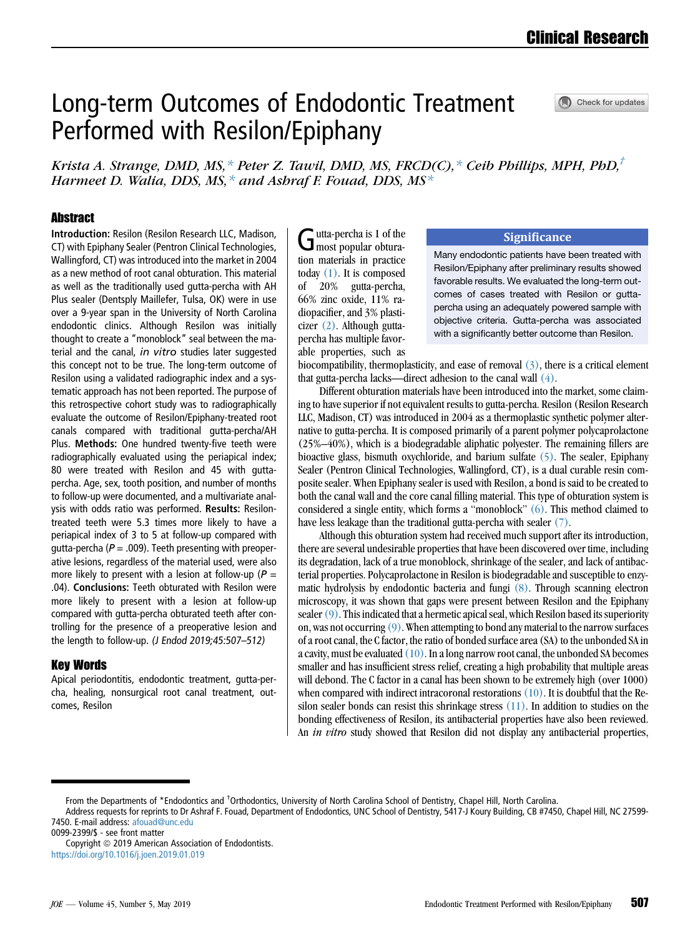Check for updates

# Long-term Outcomes of Endodontic Treatment Performed with Resilon/Epiphany

Krista A. Strange, DMD, MS,  $*$  Peter Z. Tawil, DMD, MS, FRCD(C),  $*$  Ceib Phillips, MPH, PhD,<sup>†</sup> Harmeet D. Walia, DDS, MS,  $*$  and Asbraf F. Fouad, DDS, MS $*$ 

# **Abstract**

Introduction: Resilon (Resilon Research LLC, Madison, CT) with Epiphany Sealer (Pentron Clinical Technologies, Wallingford, CT) was introduced into the market in 2004 as a new method of root canal obturation. This material as well as the traditionally used gutta-percha with AH Plus sealer (Dentsply Maillefer, Tulsa, OK) were in use over a 9-year span in the University of North Carolina endodontic clinics. Although Resilon was initially thought to create a "monoblock" seal between the material and the canal, in vitro studies later suggested this concept not to be true. The long-term outcome of Resilon using a validated radiographic index and a systematic approach has not been reported. The purpose of this retrospective cohort study was to radiographically evaluate the outcome of Resilon/Epiphany-treated root canals compared with traditional gutta-percha/AH Plus. Methods: One hundred twenty-five teeth were radiographically evaluated using the periapical index; 80 were treated with Resilon and 45 with guttapercha. Age, sex, tooth position, and number of months to follow-up were documented, and a multivariate analysis with odds ratio was performed. Results: Resilontreated teeth were 5.3 times more likely to have a periapical index of 3 to 5 at follow-up compared with gutta-percha ( $P = .009$ ). Teeth presenting with preoperative lesions, regardless of the material used, were also more likely to present with a lesion at follow-up ( $P =$ .04). Conclusions: Teeth obturated with Resilon were more likely to present with a lesion at follow-up compared with gutta-percha obturated teeth after controlling for the presence of a preoperative lesion and the length to follow-up. (J Endod 2019;45:507–512)

#### Key Words

Apical periodontitis, endodontic treatment, gutta-percha, healing, nonsurgical root canal treatment, outcomes, Resilon

Gutta-percha is 1 of the<br>most popular obturation materials in practice today [\(1\)](#page-4-0). It is composed of 20% gutta-percha, 66% zinc oxide, 11% radiopacifier, and 3% plasticizer [\(2\).](#page-4-0) Although guttapercha has multiple favorable properties, such as

#### **Significance**

Many endodontic patients have been treated with Resilon/Epiphany after preliminary results showed favorable results. We evaluated the long-term outcomes of cases treated with Resilon or guttapercha using an adequately powered sample with objective criteria. Gutta-percha was associated with a significantly better outcome than Resilon.

biocompatibility, thermoplasticity, and ease of removal  $(3)$ , there is a critical element that gutta-percha lacks—direct adhesion to the canal wall [\(4\).](#page-4-0)

Different obturation materials have been introduced into the market, some claiming to have superior if not equivalent results to gutta-percha. Resilon (Resilon Research LLC, Madison, CT) was introduced in 2004 as a thermoplastic synthetic polymer alternative to gutta-percha. It is composed primarily of a parent polymer polycaprolactone (25%–40%), which is a biodegradable aliphatic polyester. The remaining fillers are bioactive glass, bismuth oxychloride, and barium sulfate [\(5\)](#page-4-0). The sealer, Epiphany Sealer (Pentron Clinical Technologies, Wallingford, CT), is a dual curable resin composite sealer. When Epiphany sealer is used with Resilon, a bond is said to be created to both the canal wall and the core canal filling material. This type of obturation system is considered a single entity, which forms a "monoblock" [\(6\)](#page-4-0). This method claimed to have less leakage than the traditional gutta-percha with sealer [\(7\)](#page-4-0).

Although this obturation system had received much support after its introduction, there are several undesirable properties that have been discovered over time, including its degradation, lack of a true monoblock, shrinkage of the sealer, and lack of antibacterial properties. Polycaprolactone in Resilon is biodegradable and susceptible to enzymatic hydrolysis by endodontic bacteria and fungi [\(8\).](#page-4-0) Through scanning electron microscopy, it was shown that gaps were present between Resilon and the Epiphany sealer  $(9)$ . This indicated that a hermetic apical seal, which Resilon based its superiority on, was not occurring  $(9)$ . When attempting to bond any material to the narrow surfaces of a root canal, the C factor, the ratio of bonded surface area (SA) to the unbonded SA in a cavity, must be evaluated [\(10\).](#page-4-0) In a long narrow root canal, the unbonded SA becomes smaller and has insufficient stress relief, creating a high probability that multiple areas will debond. The C factor in a canal has been shown to be extremely high (over 1000) when compared with indirect intracoronal restorations [\(10\)](#page-4-0). It is doubtful that the Resilon sealer bonds can resist this shrinkage stress [\(11\)](#page-4-0). In addition to studies on the bonding effectiveness of Resilon, its antibacterial properties have also been reviewed. An *in vitro* study showed that Resilon did not display any antibacterial properties,

0099-2399/\$ - see front matter

Copyright © 2019 American Association of Endodontists. <https://doi.org/10.1016/j.joen.2019.01.019>

From the Departments of \*Endodontics and <sup>†</sup>Orthodontics, University of North Carolina School of Dentistry, Chapel Hill, North Carolina.

Address requests for reprints to Dr Ashraf F. Fouad, Department of Endodontics, UNC School of Dentistry, 5417-J Koury Building, CB #7450, Chapel Hill, NC 27599- 7450. E-mail address: [afouad@unc.edu](mailto:afouad@unc.edu)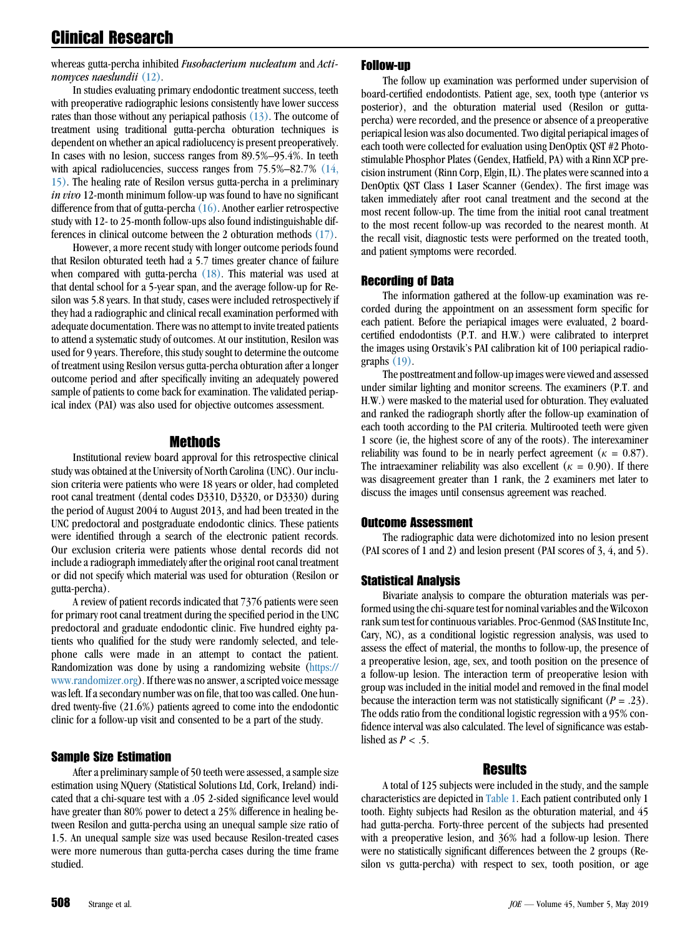whereas gutta-percha inhibited Fusobacterium nucleatum and Actinomyces naeslundii [\(12\).](#page-4-0)

In studies evaluating primary endodontic treatment success, teeth with preoperative radiographic lesions consistently have lower success rates than those without any periapical pathosis  $(13)$ . The outcome of treatment using traditional gutta-percha obturation techniques is dependent on whether an apical radiolucency is present preoperatively. In cases with no lesion, success ranges from 89.5%–95.4%. In teeth with apical radiolucencies, success ranges from 75.5%–82.7% [\(14,](#page-4-0) [15\).](#page-4-0) The healing rate of Resilon versus gutta-percha in a preliminary in vivo 12-month minimum follow-up was found to have no significant difference from that of gutta-percha  $(16)$ . Another earlier retrospective study with 12- to 25-month follow-ups also found indistinguishable differences in clinical outcome between the 2 obturation methods [\(17\).](#page-4-0)

However, a more recent study with longer outcome periods found that Resilon obturated teeth had a 5.7 times greater chance of failure when compared with gutta-percha [\(18\).](#page-4-0) This material was used at that dental school for a 5-year span, and the average follow-up for Resilon was 5.8 years. In that study, cases were included retrospectively if they had a radiographic and clinical recall examination performed with adequate documentation. There was no attempt to invite treated patients to attend a systematic study of outcomes. At our institution, Resilon was used for 9 years. Therefore, this study sought to determine the outcome of treatment using Resilon versus gutta-percha obturation after a longer outcome period and after specifically inviting an adequately powered sample of patients to come back for examination. The validated periapical index (PAI) was also used for objective outcomes assessment.

# Methods

Institutional review board approval for this retrospective clinical study was obtained at the University of North Carolina (UNC). Our inclusion criteria were patients who were 18 years or older, had completed root canal treatment (dental codes D3310, D3320, or D3330) during the period of August 2004 to August 2013, and had been treated in the UNC predoctoral and postgraduate endodontic clinics. These patients were identified through a search of the electronic patient records. Our exclusion criteria were patients whose dental records did not include a radiograph immediately after the original root canal treatment or did not specify which material was used for obturation (Resilon or gutta-percha).

A review of patient records indicated that 7376 patients were seen for primary root canal treatment during the specified period in the UNC predoctoral and graduate endodontic clinic. Five hundred eighty patients who qualified for the study were randomly selected, and telephone calls were made in an attempt to contact the patient. Randomization was done by using a randomizing website ([https://](https://www.randomizer.org) [www.randomizer.org](https://www.randomizer.org)). If there was no answer, a scripted voice message was left. If a secondary number was on file, that too was called. One hundred twenty-five (21.6%) patients agreed to come into the endodontic clinic for a follow-up visit and consented to be a part of the study.

# Sample Size Estimation

After a preliminary sample of 50 teeth were assessed, a sample size estimation using NQuery (Statistical Solutions Ltd, Cork, Ireland) indicated that a chi-square test with a .05 2-sided significance level would have greater than 80% power to detect a 25% difference in healing between Resilon and gutta-percha using an unequal sample size ratio of 1.5. An unequal sample size was used because Resilon-treated cases were more numerous than gutta-percha cases during the time frame studied.

#### Follow-up

The follow up examination was performed under supervision of board-certified endodontists. Patient age, sex, tooth type (anterior vs posterior), and the obturation material used (Resilon or guttapercha) were recorded, and the presence or absence of a preoperative periapical lesion was also documented. Two digital periapical images of each tooth were collected for evaluation using DenOptix QST #2 Photostimulable Phosphor Plates (Gendex, Hatfield, PA) with a Rinn XCP precision instrument (Rinn Corp, Elgin, IL). The plates were scanned into a DenOptix QST Class 1 Laser Scanner (Gendex). The first image was taken immediately after root canal treatment and the second at the most recent follow-up. The time from the initial root canal treatment to the most recent follow-up was recorded to the nearest month. At the recall visit, diagnostic tests were performed on the treated tooth, and patient symptoms were recorded.

#### Recording of Data

The information gathered at the follow-up examination was recorded during the appointment on an assessment form specific for each patient. Before the periapical images were evaluated, 2 boardcertified endodontists (P.T. and H.W.) were calibrated to interpret the images using Orstavik's PAI calibration kit of 100 periapical radiographs [\(19\)](#page-4-0).

The posttreatment and follow-up images were viewed and assessed under similar lighting and monitor screens. The examiners (P.T. and H.W.) were masked to the material used for obturation. They evaluated and ranked the radiograph shortly after the follow-up examination of each tooth according to the PAI criteria. Multirooted teeth were given 1 score (ie, the highest score of any of the roots). The interexaminer reliability was found to be in nearly perfect agreement ( $\kappa = 0.87$ ). The intraexaminer reliability was also excellent ( $\kappa = 0.90$ ). If there was disagreement greater than 1 rank, the 2 examiners met later to discuss the images until consensus agreement was reached.

#### Outcome Assessment

The radiographic data were dichotomized into no lesion present (PAI scores of 1 and 2) and lesion present (PAI scores of 3, 4, and 5).

#### Statistical Analysis

Bivariate analysis to compare the obturation materials was performed using the chi-square test for nominal variables and the Wilcoxon rank sum test for continuous variables. Proc-Genmod (SAS Institute Inc, Cary, NC), as a conditional logistic regression analysis, was used to assess the effect of material, the months to follow-up, the presence of a preoperative lesion, age, sex, and tooth position on the presence of a follow-up lesion. The interaction term of preoperative lesion with group was included in the initial model and removed in the final model because the interaction term was not statistically significant  $(P = .23)$ . The odds ratio from the conditional logistic regression with a 95% confidence interval was also calculated. The level of significance was established as  $P < .5$ .

#### Results

A total of 125 subjects were included in the study, and the sample characteristics are depicted in [Table 1](#page-2-0). Each patient contributed only 1 tooth. Eighty subjects had Resilon as the obturation material, and 45 had gutta-percha. Forty-three percent of the subjects had presented with a preoperative lesion, and 36% had a follow-up lesion. There were no statistically significant differences between the 2 groups (Resilon vs gutta-percha) with respect to sex, tooth position, or age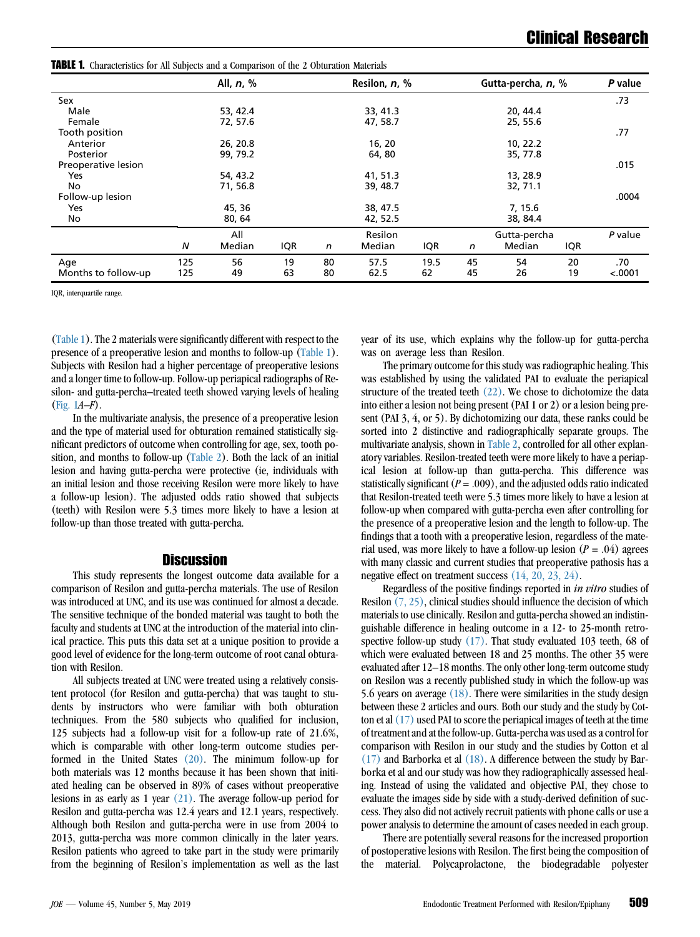<span id="page-2-0"></span>TABLE 1. Characteristics for All Subjects and a Comparison of the 2 Obturation Materials All, n, % Resilon, n, % Gutta-percha, n, % P value Sex .73 Male 53, 42.4 33, 41.3 20, 44.4 Female 72, 57.6 47, 58.7 25, 55.6 Tooth position .77 Anterior 26, 20.8 16, 20 10, 22.2 Posterior 99, 79.2 64, 80 35, 77.8 Preoperative lesion .015 Yes 654, 43.2 **54, 43.2** 41, 51.3 13, 28.9 No 32, 71.1 36.8 39, 48.7 32, 71.1 Follow-up lesion .0004 Yes 45, 36 38, 47.5 7, 15.6 No 38, 84.4 380, 64 390, 80, 84 390, 84, 85, 84.4 All Resilon Gutta-percha P value N Median IQR n Median IQR n Median IQR Age 125 56 19 80 57.5 19.5 45 54 20 .70 Months to follow-up 125 49 63 80 62.5 62 45 26 19 <.0001

IQR, interquartile range.

(Table 1). The 2 materials were significantly different with respect to the presence of a preoperative lesion and months to follow-up (Table 1). Subjects with Resilon had a higher percentage of preoperative lesions and a longer time to follow-up. Follow-up periapical radiographs of Resilon- and gutta-percha–treated teeth showed varying levels of healing ([Fig. 1](#page-3-0)A–F).

In the multivariate analysis, the presence of a preoperative lesion and the type of material used for obturation remained statistically significant predictors of outcome when controlling for age, sex, tooth position, and months to follow-up [\(Table 2](#page-4-0)). Both the lack of an initial lesion and having gutta-percha were protective (ie, individuals with an initial lesion and those receiving Resilon were more likely to have a follow-up lesion). The adjusted odds ratio showed that subjects (teeth) with Resilon were 5.3 times more likely to have a lesion at follow-up than those treated with gutta-percha.

#### **Discussion**

This study represents the longest outcome data available for a comparison of Resilon and gutta-percha materials. The use of Resilon was introduced at UNC, and its use was continued for almost a decade. The sensitive technique of the bonded material was taught to both the faculty and students at UNC at the introduction of the material into clinical practice. This puts this data set at a unique position to provide a good level of evidence for the long-term outcome of root canal obturation with Resilon.

All subjects treated at UNC were treated using a relatively consistent protocol (for Resilon and gutta-percha) that was taught to students by instructors who were familiar with both obturation techniques. From the 580 subjects who qualified for inclusion, 125 subjects had a follow-up visit for a follow-up rate of 21.6%, which is comparable with other long-term outcome studies performed in the United States [\(20\)](#page-4-0). The minimum follow-up for both materials was 12 months because it has been shown that initiated healing can be observed in 89% of cases without preoperative lesions in as early as 1 year [\(21\)](#page-4-0). The average follow-up period for Resilon and gutta-percha was 12.4 years and 12.1 years, respectively. Although both Resilon and gutta-percha were in use from 2004 to 2013, gutta-percha was more common clinically in the later years. Resilon patients who agreed to take part in the study were primarily from the beginning of Resilon's implementation as well as the last year of its use, which explains why the follow-up for gutta-percha was on average less than Resilon.

The primary outcome for this study was radiographic healing. This was established by using the validated PAI to evaluate the periapical structure of the treated teeth  $(22)$ . We chose to dichotomize the data into either a lesion not being present (PAI 1 or 2) or a lesion being present (PAI 3, 4, or 5). By dichotomizing our data, these ranks could be sorted into 2 distinctive and radiographically separate groups. The multivariate analysis, shown in [Table 2,](#page-4-0) controlled for all other explanatory variables. Resilon-treated teeth were more likely to have a periapical lesion at follow-up than gutta-percha. This difference was statistically significant  $(P = .009)$ , and the adjusted odds ratio indicated that Resilon-treated teeth were 5.3 times more likely to have a lesion at follow-up when compared with gutta-percha even after controlling for the presence of a preoperative lesion and the length to follow-up. The findings that a tooth with a preoperative lesion, regardless of the material used, was more likely to have a follow-up lesion  $(P = .04)$  agrees with many classic and current studies that preoperative pathosis has a negative effect on treatment success [\(14, 20, 23, 24\)](#page-4-0).

Regardless of the positive findings reported in in vitro studies of Resilon [\(7, 25\),](#page-4-0) clinical studies should influence the decision of which materials to use clinically. Resilon and gutta-percha showed an indistinguishable difference in healing outcome in a 12- to 25-month retrospective follow-up study [\(17\)](#page-4-0). That study evaluated 103 teeth, 68 of which were evaluated between 18 and 25 months. The other 35 were evaluated after 12–18 months. The only other long-term outcome study on Resilon was a recently published study in which the follow-up was 5.6 years on average [\(18\).](#page-4-0) There were similarities in the study design between these 2 articles and ours. Both our study and the study by Cotton et al  $(17)$  used PAI to score the periapical images of teeth at the time of treatment and at the follow-up. Gutta-percha was used as a control for comparison with Resilon in our study and the studies by Cotton et al [\(17\)](#page-4-0) and Barborka et al [\(18\).](#page-4-0) A difference between the study by Barborka et al and our study was how they radiographically assessed healing. Instead of using the validated and objective PAI, they chose to evaluate the images side by side with a study-derived definition of success. They also did not actively recruit patients with phone calls or use a power analysis to determine the amount of cases needed in each group.

There are potentially several reasons for the increased proportion of postoperative lesions with Resilon. The first being the composition of the material. Polycaprolactone, the biodegradable polyester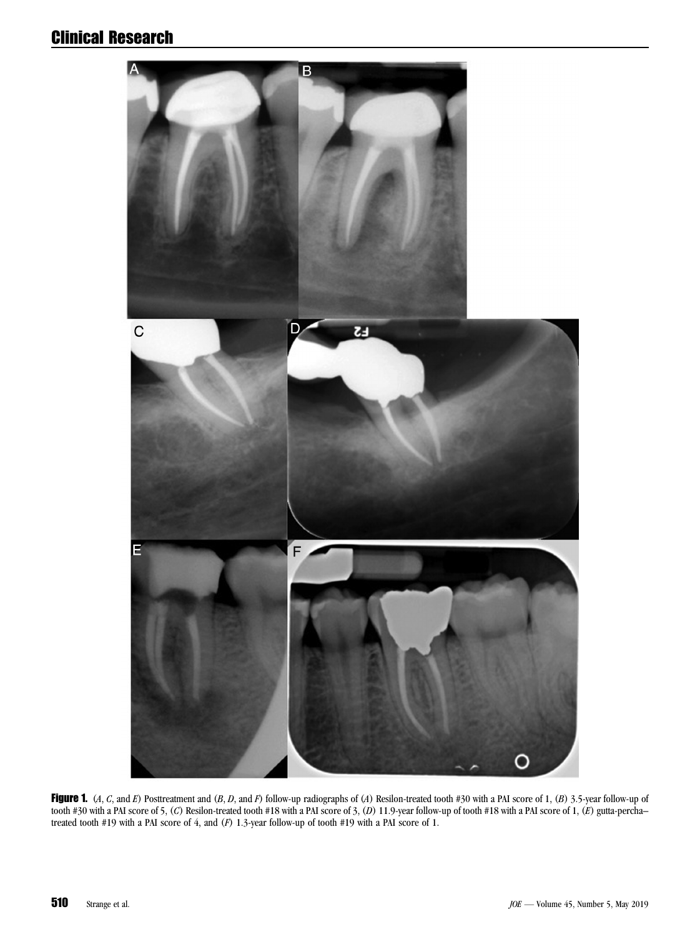# <span id="page-3-0"></span>Clinical Research



Figure 1. (A, C, and E) Posttreatment and  $(B, D,$  and F) follow-up radiographs of (A) Resilon-treated tooth #30 with a PAI score of 1, (B) 3.5-year follow-up of tooth #30 with a PAI score of 5, (C) Resilon-treated tooth #18 with a PAI score of 3, (D) 11.9-year follow-up of tooth #18 with a PAI score of 1, (E) gutta-perchatreated tooth #19 with a PAI score of 4, and (F) 1.3-year follow-up of tooth #19 with a PAI score of 1.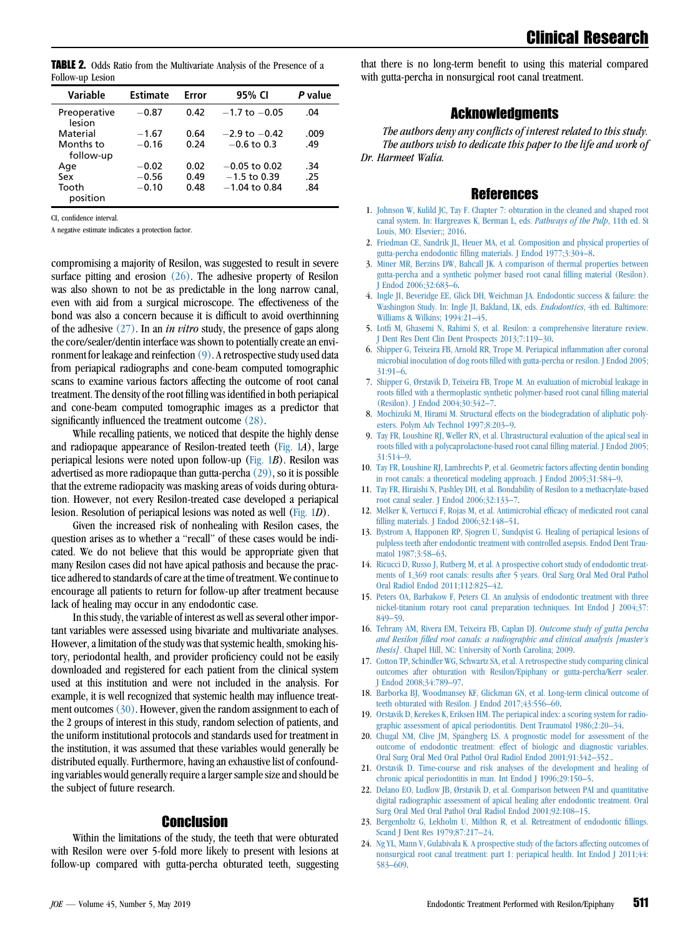<span id="page-4-0"></span>**TABLE 2.** Odds Ratio from the Multivariate Analysis of the Presence of a Follow-up Lesion

| Variable               | <b>Estimate</b> | Error | 95% CI            | P value |
|------------------------|-----------------|-------|-------------------|---------|
| Preoperative<br>lesion | $-0.87$         | 0.42  | $-1.7$ to $-0.05$ | .04     |
| Material               | $-1.67$         | 0.64  | $-2.9$ to $-0.42$ | .009    |
| Months to<br>follow-up | $-0.16$         | 0.24  | $-0.6$ to 0.3     | .49     |
| Age                    | $-0.02$         | 0.02  | $-0.05$ to 0.02   | .34     |
| Sex                    | $-0.56$         | 0.49  | $-1.5$ to 0.39    | .25     |
| Tooth<br>position      | $-0.10$         | 0.48  | $-1.04$ to 0.84   | .84     |

CI, confidence interval.

A negative estimate indicates a protection factor.

compromising a majority of Resilon, was suggested to result in severe surface pitting and erosion  $(26)$ . The adhesive property of Resilon was also shown to not be as predictable in the long narrow canal, even with aid from a surgical microscope. The effectiveness of the bond was also a concern because it is difficult to avoid overthinning of the adhesive  $(27)$ . In an *in vitro* study, the presence of gaps along the core/sealer/dentin interface was shown to potentially create an environment for leakage and reinfection (9). A retrospective study used data from periapical radiographs and cone-beam computed tomographic scans to examine various factors affecting the outcome of root canal treatment. The density of the root filling was identified in both periapical and cone-beam computed tomographic images as a predictor that significantly influenced the treatment outcome [\(28\).](#page-5-0)

While recalling patients, we noticed that despite the highly dense and radiopaque appearance of Resilon-treated teeth ([Fig. 1](#page-3-0)A), large periapical lesions were noted upon follow-up  $(Fig, 1B)$ . Resilon was advertised as more radiopaque than gutta-percha $(29)$ , so it is possible that the extreme radiopacity was masking areas of voids during obturation. However, not every Resilon-treated case developed a periapical lesion. Resolution of periapical lesions was noted as well [\(Fig. 1](#page-3-0)D).

Given the increased risk of nonhealing with Resilon cases, the question arises as to whether a "recall" of these cases would be indicated. We do not believe that this would be appropriate given that many Resilon cases did not have apical pathosis and because the practice adhered to standards of care at the time of treatment. We continue to encourage all patients to return for follow-up after treatment because lack of healing may occur in any endodontic case.

In this study, the variable of interest as well as several other important variables were assessed using bivariate and multivariate analyses. However, a limitation of the study was that systemic health, smoking history, periodontal health, and provider proficiency could not be easily downloaded and registered for each patient from the clinical system used at this institution and were not included in the analysis. For example, it is well recognized that systemic health may influence treatment outcomes  $(30)$ . However, given the random assignment to each of the 2 groups of interest in this study, random selection of patients, and the uniform institutional protocols and standards used for treatment in the institution, it was assumed that these variables would generally be distributed equally. Furthermore, having an exhaustive list of confounding variables would generally require a larger sample size and should be the subject of future research.

#### Conclusion

Within the limitations of the study, the teeth that were obturated with Resilon were over 5-fold more likely to present with lesions at follow-up compared with gutta-percha obturated teeth, suggesting that there is no long-term benefit to using this material compared with gutta-percha in nonsurgical root canal treatment.

# Acknowledgments

The authors deny any conflicts of interest related to this study. The authors wish to dedicate this paper to the life and work of Dr. Harmeet Walia.

### **References**

- 1. [Johnson W, Kulild JC, Tay F. Chapter 7: obturation in the cleaned and shaped root](http://refhub.elsevier.com/S0099-2399(19)30082-2/sref1) [canal system. In: Hargreaves K, Berman L, eds.](http://refhub.elsevier.com/S0099-2399(19)30082-2/sref1) Pathways of the Pulp, 11th ed. St [Louis, MO: Elsevier;; 2016](http://refhub.elsevier.com/S0099-2399(19)30082-2/sref1).
- 2. [Friedman CE, Sandrik JL, Heuer MA, et al. Composition and physical properties of](http://refhub.elsevier.com/S0099-2399(19)30082-2/sref2) [gutta-percha endodontic filling materials. J Endod 1977;3:304–8](http://refhub.elsevier.com/S0099-2399(19)30082-2/sref2).
- 3. [Miner MR, Berzins DW, Bahcall JK. A comparison of thermal properties between](http://refhub.elsevier.com/S0099-2399(19)30082-2/sref3) [gutta-percha and a synthetic polymer based root canal filling material \(Resilon\).](http://refhub.elsevier.com/S0099-2399(19)30082-2/sref3) [J Endod 2006;32:683–6.](http://refhub.elsevier.com/S0099-2399(19)30082-2/sref3)
- 4. [Ingle JI, Beveridge EE, Glick DH, Weichman JA. Endodontic success & failure: the](http://refhub.elsevier.com/S0099-2399(19)30082-2/sref4) [Washington Study. In: Ingle JI, Bakland, LK, eds.](http://refhub.elsevier.com/S0099-2399(19)30082-2/sref4) *Endodontics*, 4th ed. Baltimore: [Williams & Wilkins; 1994:21–45.](http://refhub.elsevier.com/S0099-2399(19)30082-2/sref4)
- 5. [Lotfi M, Ghasemi N, Rahimi S, et al. Resilon: a comprehensive literature review.](http://refhub.elsevier.com/S0099-2399(19)30082-2/sref5) [J Dent Res Dent Clin Dent Prospects 2013;7:119–30.](http://refhub.elsevier.com/S0099-2399(19)30082-2/sref5)
- 6. [Shipper G, Teixeira FB, Arnold RR, Trope M. Periapical inflammation after coronal](http://refhub.elsevier.com/S0099-2399(19)30082-2/sref6) [microbial inoculation of dog roots filled with gutta-percha or resilon. J Endod 2005;](http://refhub.elsevier.com/S0099-2399(19)30082-2/sref6) [31:91–6.](http://refhub.elsevier.com/S0099-2399(19)30082-2/sref6)
- 7. [Shipper G, Ørstavik D, Teixeira FB, Trope M. An evaluation of microbial leakage in](http://refhub.elsevier.com/S0099-2399(19)30082-2/sref7) [roots filled with a thermoplastic synthetic polymer-based root canal filling material](http://refhub.elsevier.com/S0099-2399(19)30082-2/sref7) [\(Resilon\). J Endod 2004;30:342–7.](http://refhub.elsevier.com/S0099-2399(19)30082-2/sref7)
- 8. [Mochizuki M, Hirami M. Structural effects on the biodegradation of aliphatic poly](http://refhub.elsevier.com/S0099-2399(19)30082-2/sref8)[esters. Polym Adv Technol 1997;8:203–9.](http://refhub.elsevier.com/S0099-2399(19)30082-2/sref8)
- 9. [Tay FR, Loushine RJ, Weller RN, et al. Ultrastructural evaluation of the apical seal in](http://refhub.elsevier.com/S0099-2399(19)30082-2/sref9) [roots filled with a polycaprolactone-based root canal filling material. J Endod 2005;](http://refhub.elsevier.com/S0099-2399(19)30082-2/sref9) [31:514–9](http://refhub.elsevier.com/S0099-2399(19)30082-2/sref9).
- 10. [Tay FR, Loushine RJ, Lambrechts P, et al. Geometric factors affecting dentin bonding](http://refhub.elsevier.com/S0099-2399(19)30082-2/sref10) [in root canals: a theoretical modeling approach. J Endod 2005;31:584–9.](http://refhub.elsevier.com/S0099-2399(19)30082-2/sref10)
- 11. [Tay FR, Hiraishi N, Pashley DH, et al. Bondability of Resilon to a methacrylate-based](http://refhub.elsevier.com/S0099-2399(19)30082-2/sref11) [root canal sealer. J Endod 2006;32:133–7.](http://refhub.elsevier.com/S0099-2399(19)30082-2/sref11)
- 12. [Melker K, Vertucci F, Rojas M, et al. Antimicrobial efficacy of medicated root canal](http://refhub.elsevier.com/S0099-2399(19)30082-2/sref12) [filling materials. J Endod 2006;32:148–51](http://refhub.elsevier.com/S0099-2399(19)30082-2/sref12).
- 13. [Bystrom A, Happonen RP, Sjogren U, Sundqvist G. Healing of periapical lesions of](http://refhub.elsevier.com/S0099-2399(19)30082-2/sref13) [pulpless teeth after endodontic treatment with controlled asepsis. Endod Dent Trau](http://refhub.elsevier.com/S0099-2399(19)30082-2/sref13)[matol 1987;3:58–63.](http://refhub.elsevier.com/S0099-2399(19)30082-2/sref13)
- 14. [Ricucci D, Russo J, Rutberg M, et al. A prospective cohort study of endodontic treat](http://refhub.elsevier.com/S0099-2399(19)30082-2/sref14)[ments of 1,369 root canals: results after 5 years. Oral Surg Oral Med Oral Pathol](http://refhub.elsevier.com/S0099-2399(19)30082-2/sref14) [Oral Radiol Endod 2011;112:825–42.](http://refhub.elsevier.com/S0099-2399(19)30082-2/sref14)
- 15. [Peters OA, Barbakow F, Peters CI. An analysis of endodontic treatment with three](http://refhub.elsevier.com/S0099-2399(19)30082-2/sref15) [nickel-titanium rotary root canal preparation techniques. Int Endod J 2004;37:](http://refhub.elsevier.com/S0099-2399(19)30082-2/sref15) [849–59](http://refhub.elsevier.com/S0099-2399(19)30082-2/sref15).
- 16. [Tehrany AM, Rivera EM, Teixeira FB, Caplan DJ.](http://refhub.elsevier.com/S0099-2399(19)30082-2/sref16) Outcome study of gutta percha [and Resilon filled root canals: a radiographic and clinical analysis \[master's](http://refhub.elsevier.com/S0099-2399(19)30082-2/sref16) thesis][. Chapel Hill, NC: University of North Carolina; 2009.](http://refhub.elsevier.com/S0099-2399(19)30082-2/sref16)
- 17. [Cotton TP, Schindler WG, Schwartz SA, et al. A retrospective study comparing clinical](http://refhub.elsevier.com/S0099-2399(19)30082-2/sref17) [outcomes after obturation with Resilon/Epiphany or gutta-percha/Kerr sealer.](http://refhub.elsevier.com/S0099-2399(19)30082-2/sref17) [J Endod 2008;34:789–97.](http://refhub.elsevier.com/S0099-2399(19)30082-2/sref17)
- 18. [Barborka BJ, Woodmansey KF, Glickman GN, et al. Long-term clinical outcome of](http://refhub.elsevier.com/S0099-2399(19)30082-2/sref18) [teeth obturated with Resilon. J Endod 2017;43:556–60.](http://refhub.elsevier.com/S0099-2399(19)30082-2/sref18)
- 19. [Orstavik D, Kerekes K, Eriksen HM. The periapical index: a scoring system for radio](http://refhub.elsevier.com/S0099-2399(19)30082-2/sref19)[graphic assessment of apical periodontitis. Dent Traumatol 1986;2:20–34.](http://refhub.elsevier.com/S0099-2399(19)30082-2/sref19)
- 20. [Chugal NM, Clive JM, Sp](http://refhub.elsevier.com/S0099-2399(19)30082-2/sref20)ångberg LS. A prognostic model for assessment of the [outcome of endodontic treatment: effect of biologic and diagnostic variables.](http://refhub.elsevier.com/S0099-2399(19)30082-2/sref20) [Oral Surg Oral Med Oral Pathol Oral Radiol Endod 2001;91:342–352..](http://refhub.elsevier.com/S0099-2399(19)30082-2/sref20)
- 21. [Orstavik D. Time-course and risk analyses of the development and healing of](http://refhub.elsevier.com/S0099-2399(19)30082-2/sref21) [chronic apical periodontitis in man. Int Endod J 1996;29:150–5](http://refhub.elsevier.com/S0099-2399(19)30082-2/sref21).
- 22. [Delano EO, Ludlow JB, Ørstavik D, et al. Comparison between PAI and quantitative](http://refhub.elsevier.com/S0099-2399(19)30082-2/sref22) [digital radiographic assessment of apical healing after endodontic treatment. Oral](http://refhub.elsevier.com/S0099-2399(19)30082-2/sref22) [Surg Oral Med Oral Pathol Oral Radiol Endod 2001;92:108–15](http://refhub.elsevier.com/S0099-2399(19)30082-2/sref22).
- 23. [Bergenholtz G, Lekholm U, Milthon R, et al. Retreatment of endodontic fillings.](http://refhub.elsevier.com/S0099-2399(19)30082-2/sref23) [Scand J Dent Res 1979;87:217–24](http://refhub.elsevier.com/S0099-2399(19)30082-2/sref23).
- 24. [Ng YL, Mann V, Gulabivala K. A prospective study of the factors affecting outcomes of](http://refhub.elsevier.com/S0099-2399(19)30082-2/sref24) [nonsurgical root canal treatment: part 1: periapical health. Int Endod J 2011;44:](http://refhub.elsevier.com/S0099-2399(19)30082-2/sref24) [583–609.](http://refhub.elsevier.com/S0099-2399(19)30082-2/sref24)